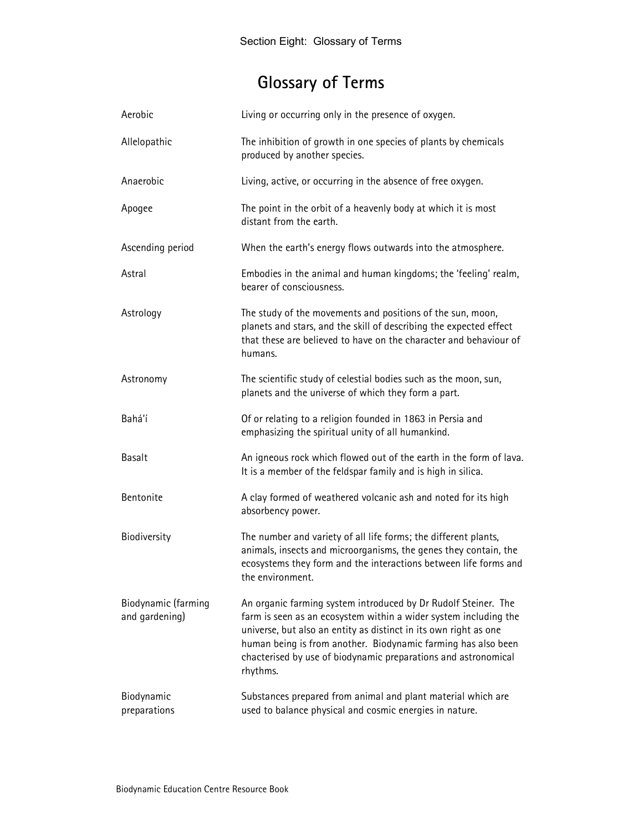# Glossary of Terms

| Aerobic                               | Living or occurring only in the presence of oxygen.                                                                                                                                                                                                                                                                                                   |
|---------------------------------------|-------------------------------------------------------------------------------------------------------------------------------------------------------------------------------------------------------------------------------------------------------------------------------------------------------------------------------------------------------|
| Allelopathic                          | The inhibition of growth in one species of plants by chemicals<br>produced by another species.                                                                                                                                                                                                                                                        |
| Anaerobic                             | Living, active, or occurring in the absence of free oxygen.                                                                                                                                                                                                                                                                                           |
| Apogee                                | The point in the orbit of a heavenly body at which it is most<br>distant from the earth.                                                                                                                                                                                                                                                              |
| Ascending period                      | When the earth's energy flows outwards into the atmosphere.                                                                                                                                                                                                                                                                                           |
| Astral                                | Embodies in the animal and human kingdoms; the 'feeling' realm,<br>bearer of consciousness.                                                                                                                                                                                                                                                           |
| Astrology                             | The study of the movements and positions of the sun, moon,<br>planets and stars, and the skill of describing the expected effect<br>that these are believed to have on the character and behaviour of<br>humans.                                                                                                                                      |
| Astronomy                             | The scientific study of celestial bodies such as the moon, sun,<br>planets and the universe of which they form a part.                                                                                                                                                                                                                                |
| Bahá'í                                | Of or relating to a religion founded in 1863 in Persia and<br>emphasizing the spiritual unity of all humankind.                                                                                                                                                                                                                                       |
| Basalt                                | An igneous rock which flowed out of the earth in the form of lava.<br>It is a member of the feldspar family and is high in silica.                                                                                                                                                                                                                    |
| Bentonite                             | A clay formed of weathered volcanic ash and noted for its high<br>absorbency power.                                                                                                                                                                                                                                                                   |
| Biodiversity                          | The number and variety of all life forms; the different plants,<br>animals, insects and microorganisms, the genes they contain, the<br>ecosystems they form and the interactions between life forms and<br>the environment.                                                                                                                           |
| Biodynamic (farming<br>and gardening) | An organic farming system introduced by Dr Rudolf Steiner. The<br>farm is seen as an ecosystem within a wider system including the<br>universe, but also an entity as distinct in its own right as one<br>human being is from another. Biodynamic farming has also been<br>chacterised by use of biodynamic preparations and astronomical<br>rhythms. |
| Biodynamic<br>preparations            | Substances prepared from animal and plant material which are<br>used to balance physical and cosmic energies in nature.                                                                                                                                                                                                                               |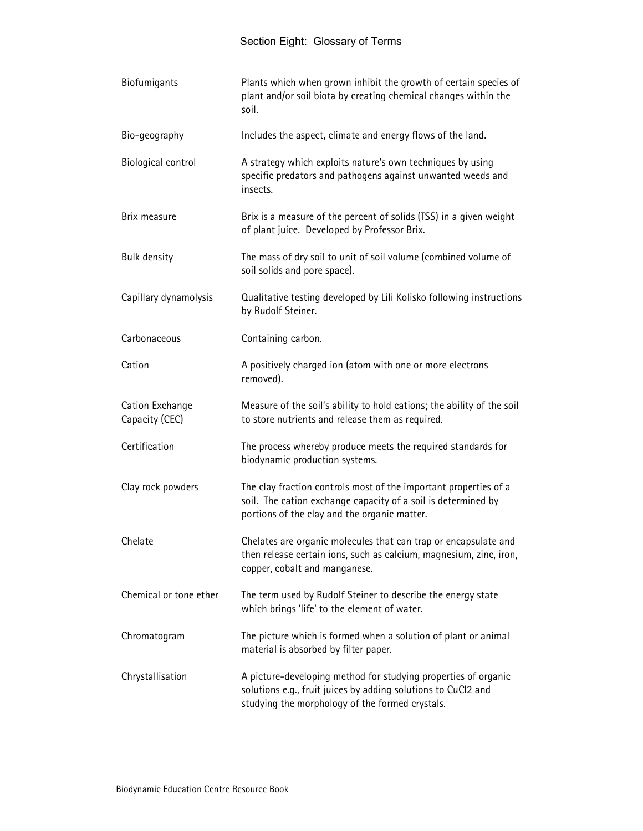| Biofumigants                      | Plants which when grown inhibit the growth of certain species of<br>plant and/or soil biota by creating chemical changes within the<br>soil.                                       |
|-----------------------------------|------------------------------------------------------------------------------------------------------------------------------------------------------------------------------------|
| Bio-geography                     | Includes the aspect, climate and energy flows of the land.                                                                                                                         |
| Biological control                | A strategy which exploits nature's own techniques by using<br>specific predators and pathogens against unwanted weeds and<br>insects.                                              |
| Brix measure                      | Brix is a measure of the percent of solids (TSS) in a given weight<br>of plant juice. Developed by Professor Brix.                                                                 |
| <b>Bulk density</b>               | The mass of dry soil to unit of soil volume (combined volume of<br>soil solids and pore space).                                                                                    |
| Capillary dynamolysis             | Qualitative testing developed by Lili Kolisko following instructions<br>by Rudolf Steiner.                                                                                         |
| Carbonaceous                      | Containing carbon.                                                                                                                                                                 |
| Cation                            | A positively charged ion (atom with one or more electrons<br>removed).                                                                                                             |
| Cation Exchange<br>Capacity (CEC) | Measure of the soil's ability to hold cations; the ability of the soil<br>to store nutrients and release them as required.                                                         |
| Certification                     | The process whereby produce meets the required standards for<br>biodynamic production systems.                                                                                     |
| Clay rock powders                 | The clay fraction controls most of the important properties of a<br>soil. The cation exchange capacity of a soil is determined by<br>portions of the clay and the organic matter.  |
| Chelate                           | Chelates are organic molecules that can trap or encapsulate and<br>then release certain ions, such as calcium, magnesium, zinc, iron,<br>copper, cobalt and manganese.             |
| Chemical or tone ether            | The term used by Rudolf Steiner to describe the energy state<br>which brings 'life' to the element of water.                                                                       |
| Chromatogram                      | The picture which is formed when a solution of plant or animal<br>material is absorbed by filter paper.                                                                            |
| Chrystallisation                  | A picture-developing method for studying properties of organic<br>solutions e.g., fruit juices by adding solutions to CuCl2 and<br>studying the morphology of the formed crystals. |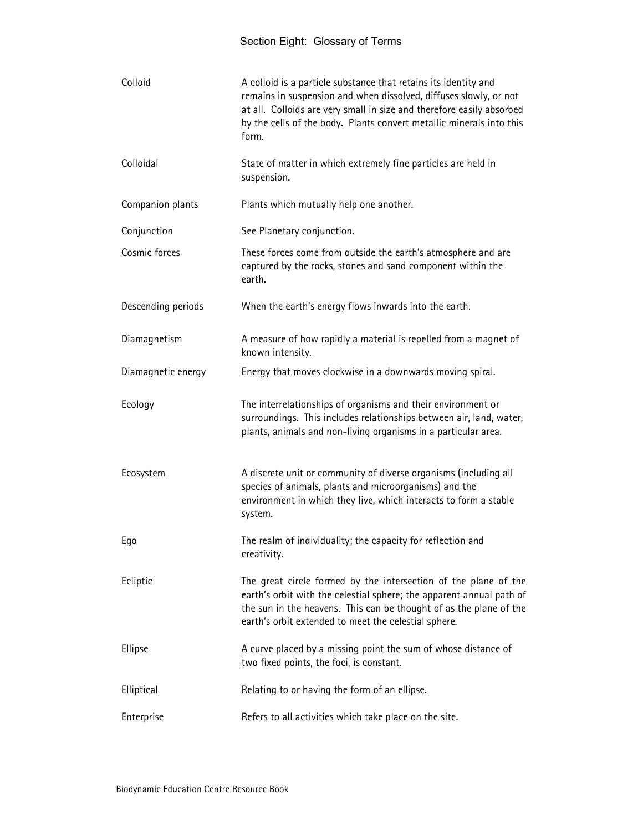| Colloid            | A colloid is a particle substance that retains its identity and<br>remains in suspension and when dissolved, diffuses slowly, or not<br>at all. Colloids are very small in size and therefore easily absorbed<br>by the cells of the body. Plants convert metallic minerals into this<br>form. |
|--------------------|------------------------------------------------------------------------------------------------------------------------------------------------------------------------------------------------------------------------------------------------------------------------------------------------|
| Colloidal          | State of matter in which extremely fine particles are held in<br>suspension.                                                                                                                                                                                                                   |
| Companion plants   | Plants which mutually help one another.                                                                                                                                                                                                                                                        |
| Conjunction        | See Planetary conjunction.                                                                                                                                                                                                                                                                     |
| Cosmic forces      | These forces come from outside the earth's atmosphere and are<br>captured by the rocks, stones and sand component within the<br>earth.                                                                                                                                                         |
| Descending periods | When the earth's energy flows inwards into the earth.                                                                                                                                                                                                                                          |
| Diamagnetism       | A measure of how rapidly a material is repelled from a magnet of<br>known intensity.                                                                                                                                                                                                           |
| Diamagnetic energy | Energy that moves clockwise in a downwards moving spiral.                                                                                                                                                                                                                                      |
| Ecology            | The interrelationships of organisms and their environment or<br>surroundings. This includes relationships between air, land, water,<br>plants, animals and non-living organisms in a particular area.                                                                                          |
| Ecosystem          | A discrete unit or community of diverse organisms (including all<br>species of animals, plants and microorganisms) and the<br>environment in which they live, which interacts to form a stable<br>system.                                                                                      |
| Ego                | The realm of individuality; the capacity for reflection and<br>creativity.                                                                                                                                                                                                                     |
| Ecliptic           | The great circle formed by the intersection of the plane of the<br>earth's orbit with the celestial sphere; the apparent annual path of<br>the sun in the heavens. This can be thought of as the plane of the<br>earth's orbit extended to meet the celestial sphere.                          |
| Ellipse            | A curve placed by a missing point the sum of whose distance of<br>two fixed points, the foci, is constant.                                                                                                                                                                                     |
| Elliptical         | Relating to or having the form of an ellipse.                                                                                                                                                                                                                                                  |
| Enterprise         | Refers to all activities which take place on the site.                                                                                                                                                                                                                                         |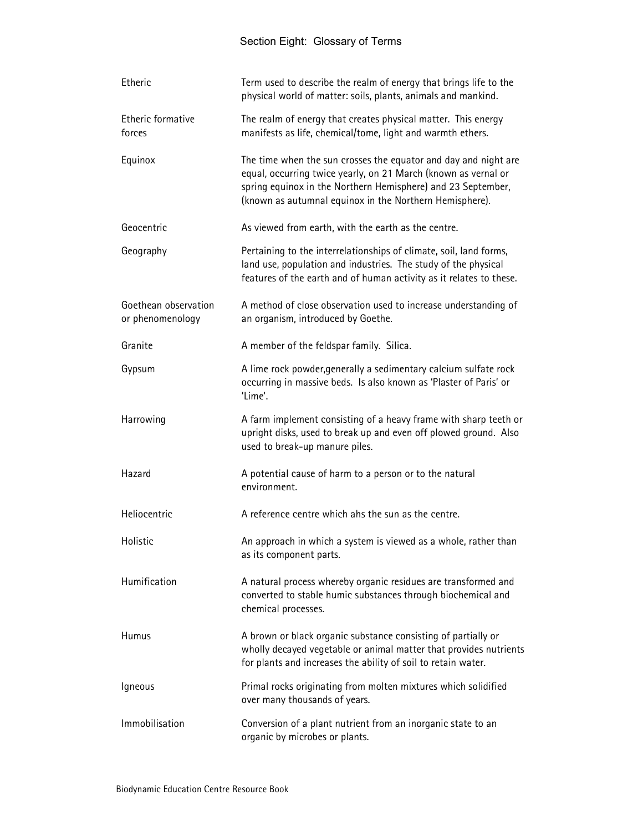| Etheric                                  | Term used to describe the realm of energy that brings life to the<br>physical world of matter: soils, plants, animals and mankind.                                                                                                                           |
|------------------------------------------|--------------------------------------------------------------------------------------------------------------------------------------------------------------------------------------------------------------------------------------------------------------|
| Etheric formative<br>forces              | The realm of energy that creates physical matter. This energy<br>manifests as life, chemical/tome, light and warmth ethers.                                                                                                                                  |
| Equinox                                  | The time when the sun crosses the equator and day and night are<br>equal, occurring twice yearly, on 21 March (known as vernal or<br>spring equinox in the Northern Hemisphere) and 23 September,<br>(known as autumnal equinox in the Northern Hemisphere). |
| Geocentric                               | As viewed from earth, with the earth as the centre.                                                                                                                                                                                                          |
| Geography                                | Pertaining to the interrelationships of climate, soil, land forms,<br>land use, population and industries. The study of the physical<br>features of the earth and of human activity as it relates to these.                                                  |
| Goethean observation<br>or phenomenology | A method of close observation used to increase understanding of<br>an organism, introduced by Goethe.                                                                                                                                                        |
| Granite                                  | A member of the feldspar family. Silica.                                                                                                                                                                                                                     |
| Gypsum                                   | A lime rock powder, generally a sedimentary calcium sulfate rock<br>occurring in massive beds. Is also known as 'Plaster of Paris' or<br>'Lime'.                                                                                                             |
| Harrowing                                | A farm implement consisting of a heavy frame with sharp teeth or<br>upright disks, used to break up and even off plowed ground. Also<br>used to break-up manure piles.                                                                                       |
| Hazard                                   | A potential cause of harm to a person or to the natural<br>environment.                                                                                                                                                                                      |
| Heliocentric                             | A reference centre which ahs the sun as the centre.                                                                                                                                                                                                          |
| Holistic                                 | An approach in which a system is viewed as a whole, rather than<br>as its component parts.                                                                                                                                                                   |
| Humification                             | A natural process whereby organic residues are transformed and<br>converted to stable humic substances through biochemical and<br>chemical processes.                                                                                                        |
| Humus                                    | A brown or black organic substance consisting of partially or<br>wholly decayed vegetable or animal matter that provides nutrients<br>for plants and increases the ability of soil to retain water.                                                          |
| Igneous                                  | Primal rocks originating from molten mixtures which solidified<br>over many thousands of years.                                                                                                                                                              |
| Immobilisation                           | Conversion of a plant nutrient from an inorganic state to an<br>organic by microbes or plants.                                                                                                                                                               |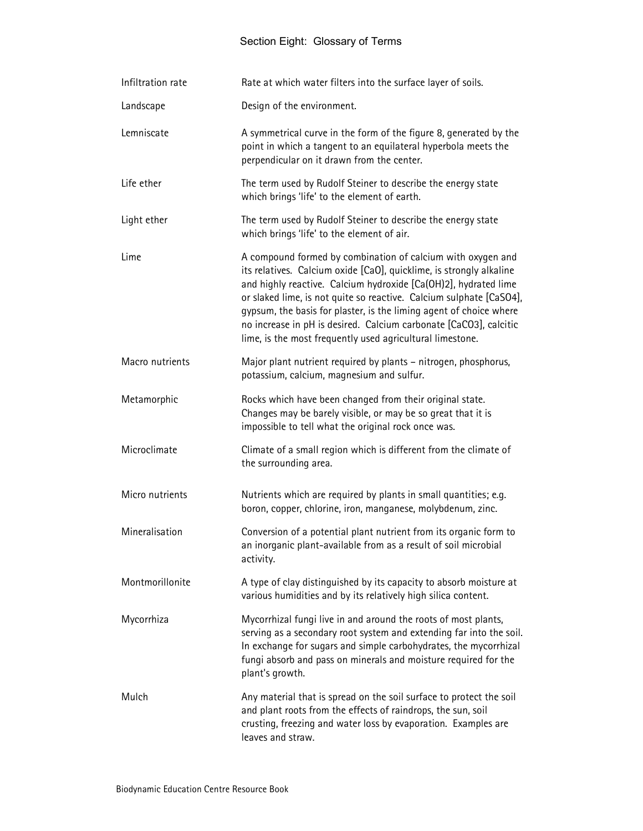| Infiltration rate | Rate at which water filters into the surface layer of soils.                                                                                                                                                                                                                                                                                                                                                                                                                         |
|-------------------|--------------------------------------------------------------------------------------------------------------------------------------------------------------------------------------------------------------------------------------------------------------------------------------------------------------------------------------------------------------------------------------------------------------------------------------------------------------------------------------|
| Landscape         | Design of the environment.                                                                                                                                                                                                                                                                                                                                                                                                                                                           |
| Lemniscate        | A symmetrical curve in the form of the figure 8, generated by the<br>point in which a tangent to an equilateral hyperbola meets the<br>perpendicular on it drawn from the center.                                                                                                                                                                                                                                                                                                    |
| Life ether        | The term used by Rudolf Steiner to describe the energy state<br>which brings 'life' to the element of earth.                                                                                                                                                                                                                                                                                                                                                                         |
| Light ether       | The term used by Rudolf Steiner to describe the energy state<br>which brings 'life' to the element of air.                                                                                                                                                                                                                                                                                                                                                                           |
| Lime              | A compound formed by combination of calcium with oxygen and<br>its relatives. Calcium oxide [CaO], quicklime, is strongly alkaline<br>and highly reactive. Calcium hydroxide [Ca(OH)2], hydrated lime<br>or slaked lime, is not quite so reactive. Calcium sulphate [CaSO4],<br>gypsum, the basis for plaster, is the liming agent of choice where<br>no increase in pH is desired. Calcium carbonate [CaCO3], calcitic<br>lime, is the most frequently used agricultural limestone. |
| Macro nutrients   | Major plant nutrient required by plants - nitrogen, phosphorus,<br>potassium, calcium, magnesium and sulfur.                                                                                                                                                                                                                                                                                                                                                                         |
| Metamorphic       | Rocks which have been changed from their original state.<br>Changes may be barely visible, or may be so great that it is<br>impossible to tell what the original rock once was.                                                                                                                                                                                                                                                                                                      |
| Microclimate      | Climate of a small region which is different from the climate of<br>the surrounding area.                                                                                                                                                                                                                                                                                                                                                                                            |
| Micro nutrients   | Nutrients which are required by plants in small quantities; e.g.<br>boron, copper, chlorine, iron, manganese, molybdenum, zinc.                                                                                                                                                                                                                                                                                                                                                      |
| Mineralisation    | Conversion of a potential plant nutrient from its organic form to<br>an inorganic plant-available from as a result of soil microbial<br>activity.                                                                                                                                                                                                                                                                                                                                    |
| Montmorillonite   | A type of clay distinguished by its capacity to absorb moisture at<br>various humidities and by its relatively high silica content.                                                                                                                                                                                                                                                                                                                                                  |
| Mycorrhiza        | Mycorrhizal fungi live in and around the roots of most plants,<br>serving as a secondary root system and extending far into the soil.<br>In exchange for sugars and simple carbohydrates, the mycorrhizal<br>fungi absorb and pass on minerals and moisture required for the<br>plant's growth.                                                                                                                                                                                      |
| Mulch             | Any material that is spread on the soil surface to protect the soil<br>and plant roots from the effects of raindrops, the sun, soil<br>crusting, freezing and water loss by evaporation. Examples are<br>leaves and straw.                                                                                                                                                                                                                                                           |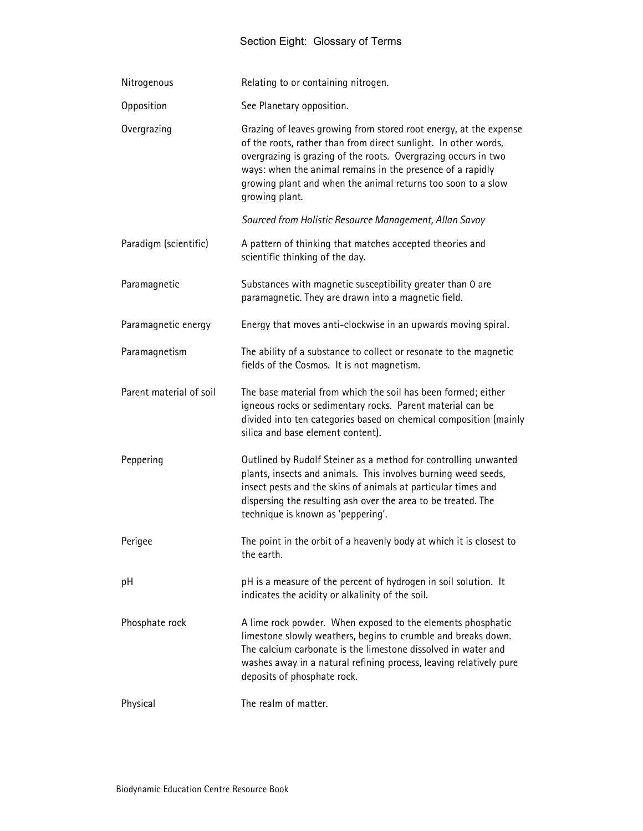| Nitrogenous             | Relating to or containing nitrogen.                                                                                                                                                                                                                                                                                                                    |
|-------------------------|--------------------------------------------------------------------------------------------------------------------------------------------------------------------------------------------------------------------------------------------------------------------------------------------------------------------------------------------------------|
| Opposition              | See Planetary opposition.                                                                                                                                                                                                                                                                                                                              |
| Overgrazing             | Grazing of leaves growing from stored root energy, at the expense<br>of the roots, rather than from direct sunlight. In other words,<br>overgrazing is grazing of the roots. Overgrazing occurs in two<br>ways: when the animal remains in the presence of a rapidly<br>growing plant and when the animal returns too soon to a slow<br>growing plant. |
|                         | Sourced from Holistic Resource Management, Allan Savoy                                                                                                                                                                                                                                                                                                 |
| Paradigm (scientific)   | A pattern of thinking that matches accepted theories and<br>scientific thinking of the day.                                                                                                                                                                                                                                                            |
| Paramagnetic            | Substances with magnetic susceptibility greater than 0 are<br>paramagnetic. They are drawn into a magnetic field.                                                                                                                                                                                                                                      |
| Paramagnetic energy     | Energy that moves anti-clockwise in an upwards moving spiral.                                                                                                                                                                                                                                                                                          |
| Paramagnetism           | The ability of a substance to collect or resonate to the magnetic<br>fields of the Cosmos. It is not magnetism.                                                                                                                                                                                                                                        |
| Parent material of soil | The base material from which the soil has been formed; either<br>igneous rocks or sedimentary rocks. Parent material can be<br>divided into ten categories based on chemical composition (mainly<br>silica and base element content).                                                                                                                  |
| Peppering               | Outlined by Rudolf Steiner as a method for controlling unwanted<br>plants, insects and animals. This involves burning weed seeds,<br>insect pests and the skins of animals at particular times and<br>dispersing the resulting ash over the area to be treated. The<br>technique is known as 'peppering'.                                              |
| Perigee                 | The point in the orbit of a heavenly body at which it is closest to<br>the earth.                                                                                                                                                                                                                                                                      |
| рH                      | pH is a measure of the percent of hydrogen in soil solution. It<br>indicates the acidity or alkalinity of the soil.                                                                                                                                                                                                                                    |
| Phosphate rock          | A lime rock powder. When exposed to the elements phosphatic<br>limestone slowly weathers, begins to crumble and breaks down.<br>The calcium carbonate is the limestone dissolved in water and<br>washes away in a natural refining process, leaving relatively pure<br>deposits of phosphate rock.                                                     |
| Physical                | The realm of matter.                                                                                                                                                                                                                                                                                                                                   |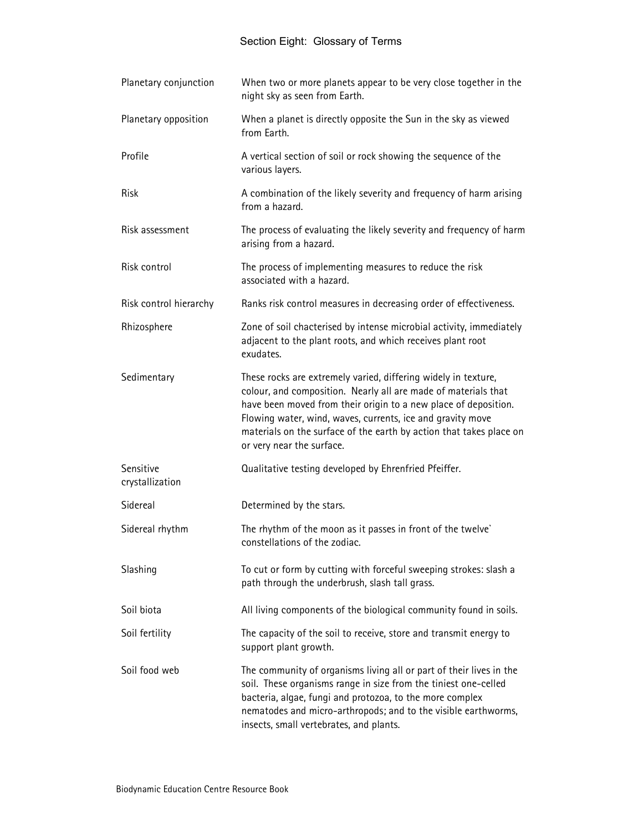| Planetary conjunction        | When two or more planets appear to be very close together in the<br>night sky as seen from Earth.                                                                                                                                                                                                                                                                     |
|------------------------------|-----------------------------------------------------------------------------------------------------------------------------------------------------------------------------------------------------------------------------------------------------------------------------------------------------------------------------------------------------------------------|
| Planetary opposition         | When a planet is directly opposite the Sun in the sky as viewed<br>from Earth.                                                                                                                                                                                                                                                                                        |
| Profile                      | A vertical section of soil or rock showing the sequence of the<br>various layers.                                                                                                                                                                                                                                                                                     |
| <b>Risk</b>                  | A combination of the likely severity and frequency of harm arising<br>from a hazard.                                                                                                                                                                                                                                                                                  |
| Risk assessment              | The process of evaluating the likely severity and frequency of harm<br>arising from a hazard.                                                                                                                                                                                                                                                                         |
| Risk control                 | The process of implementing measures to reduce the risk<br>associated with a hazard.                                                                                                                                                                                                                                                                                  |
| Risk control hierarchy       | Ranks risk control measures in decreasing order of effectiveness.                                                                                                                                                                                                                                                                                                     |
| Rhizosphere                  | Zone of soil chacterised by intense microbial activity, immediately<br>adjacent to the plant roots, and which receives plant root<br>exudates.                                                                                                                                                                                                                        |
| Sedimentary                  | These rocks are extremely varied, differing widely in texture,<br>colour, and composition. Nearly all are made of materials that<br>have been moved from their origin to a new place of deposition.<br>Flowing water, wind, waves, currents, ice and gravity move<br>materials on the surface of the earth by action that takes place on<br>or very near the surface. |
| Sensitive<br>crystallization | Qualitative testing developed by Ehrenfried Pfeiffer.                                                                                                                                                                                                                                                                                                                 |
| Sidereal                     | Determined by the stars.                                                                                                                                                                                                                                                                                                                                              |
| Sidereal rhythm              | The rhythm of the moon as it passes in front of the twelve'<br>constellations of the zodiac.                                                                                                                                                                                                                                                                          |
| Slashing                     | To cut or form by cutting with forceful sweeping strokes: slash a<br>path through the underbrush, slash tall grass.                                                                                                                                                                                                                                                   |
| Soil biota                   | All living components of the biological community found in soils.                                                                                                                                                                                                                                                                                                     |
| Soil fertility               | The capacity of the soil to receive, store and transmit energy to<br>support plant growth.                                                                                                                                                                                                                                                                            |
| Soil food web                | The community of organisms living all or part of their lives in the<br>soil. These organisms range in size from the tiniest one-celled<br>bacteria, algae, fungi and protozoa, to the more complex<br>nematodes and micro-arthropods; and to the visible earthworms,<br>insects, small vertebrates, and plants.                                                       |